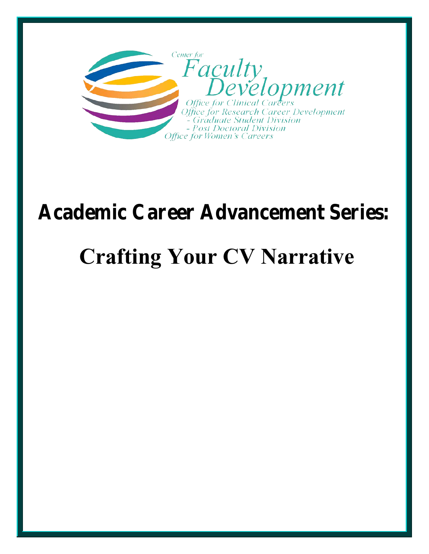

# **Academic Career Advancement Series:**

# **Crafting Your CV Narrative**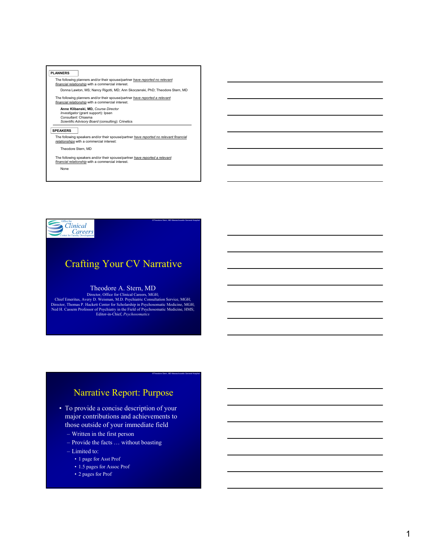#### **PLANNERS**

The following planners and/or their spouse/partner *have reported no relevant financial relationship* with a commercial interest.

Donna Lawton, MS; Nancy Rigotti, MD; Ann Skoczenski, PhD; Theodore Stern, MD The following planners and/or their spouse/partner *have reported a relevant financial relationship* with a commercial interest.

**Anne Klibanski, MD,** *Course Director Investigator* (grant support): Ipsen *Consultant:* Chiasma *Scientific Advisory Board* (consulting): Crinetics

#### **SPEAKERS**

The following speakers and/or their spouse/partner *have reported no relevant financial relationships* with a commercial interest:

Theodore Stern, MD

The following speakers and/or their spouse/partner *have reported a relevant financial relationship* with a commercial interest.

None



## Crafting Your CV Narrative

©Theodore Stern, MD Massachusetts General Hospital

©Theodore Stern, MD Massachusetts General Hospital

#### Theodore A. Stern, MD

Director, Office for Clinical Careers, MGH;<br>Chief Emeritus, Avery D. Weisman, M.D. Psychiatric Consultation Service, MGH;<br>Director, Thomas P. Hackett Center for Scholarship in Psychosomatic Medicine, MGH;<br>Ned H. Cassem Pro

## Narrative Report: Purpose

- To provide a concise description of your major contributions and achievements to those outside of your immediate field
	- Written in the first person
	- Provide the facts … without boasting
	- Limited to:
		- 1 page for Asst Prof
		- 1.5 pages for Assoc Prof
		- 2 pages for Prof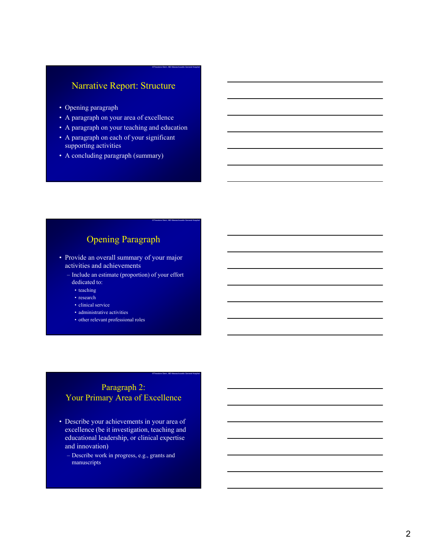## Narrative Report: Structure

©Theodore Stern, MD Massachusetts General Hospital

©Theodore Stern, MD Massachusetts General Hospital

©Theodore Stern, MD Massachusetts General Hospital

- Opening paragraph
- A paragraph on your area of excellence
- A paragraph on your teaching and education
- A paragraph on each of your significant supporting activities
- A concluding paragraph (summary)

## Opening Paragraph

- Provide an overall summary of your major activities and achievements
	- Include an estimate (proportion) of your effort dedicated to:
		- teaching
		- research
		- clinical service
		- administrative activities
		- other relevant professional roles

### Paragraph 2: Your Primary Area of Excellence

- Describe your achievements in your area of excellence (be it investigation, teaching and educational leadership, or clinical expertise and innovation)
	- Describe work in progress, e.g., grants and manuscripts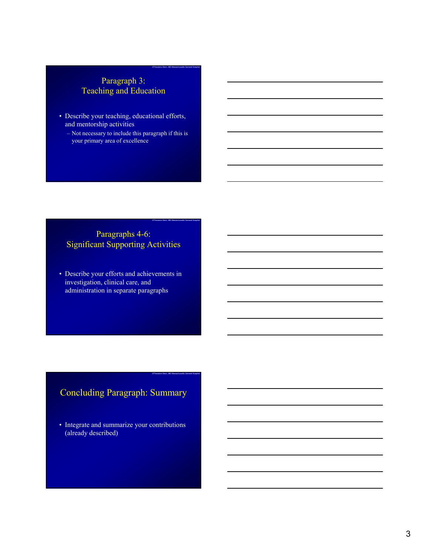## Paragraph 3: Teaching and Education

©Theodore Stern, MD Massachusetts General Hospital

©Theodore Stern, MD Massachusetts General Hospital

©Theodore Stern, MD Massachusetts General Hospital

- Describe your teaching, educational efforts, and mentorship activities
	- Not necessary to include this paragraph if this is your primary area of excellence

## Paragraphs 4-6: Significant Supporting Activities

• Describe your efforts and achievements in investigation, clinical care, and administration in separate paragraphs

## Concluding Paragraph: Summary

• Integrate and summarize your contributions (already described)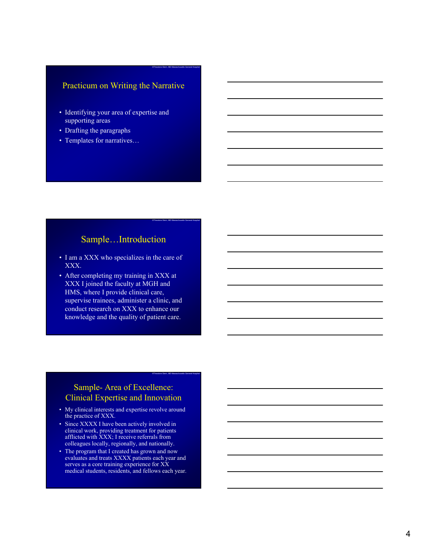#### Practicum on Writing the Narrative

©Theodore Stern, MD Massachusetts General Hospital

©Theodore Stern, MD Massachusetts General Hospital

©Theodore Stern, MD Massachusetts General Hospital

- Identifying your area of expertise and supporting areas
- Drafting the paragraphs
- Templates for narratives…

### Sample…Introduction

- I am a XXX who specializes in the care of XXX.
- After completing my training in XXX at XXX I joined the faculty at MGH and HMS, where I provide clinical care, supervise trainees, administer a clinic, and conduct research on XXX to enhance our knowledge and the quality of patient care.

#### Sample- Area of Excellence: Clinical Expertise and Innovation

- My clinical interests and expertise revolve around the practice of XXX.
- Since XXXX I have been actively involved in clinical work, providing treatment for patients afflicted with XXX; I receive referrals from colleagues locally, regionally, and nationally.
- The program that I created has grown and now evaluates and treats XXXX patients each year and serves as a core training experience for XX medical students, residents, and fellows each year.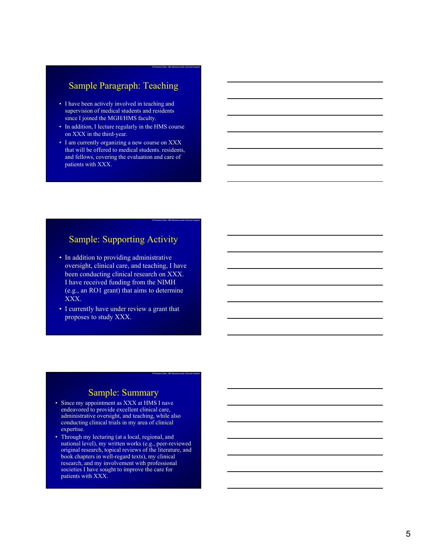## Sample Paragraph: Teaching

©Theodore Stern, MD Massachusetts General Hospital

©Theodore Stern, MD Massachusetts General Hospital

©Theodore Stern, MD Massachusetts General Hospital

- I have been actively involved in teaching and supervision of medical students and residents since I joined the MGH/HMS faculty.
- In addition, I lecture regularly in the HMS course on XXX in the third-year.
- I am currently organizing a new course on XXX that will be offered to medical students. residents, and fellows, covering the evaluation and care of patients with XXX.

## Sample: Supporting Activity

- In addition to providing administrative oversight, clinical care, and teaching, I have been conducting clinical research on XXX. I have received funding from the NIMH (e.g., an RO1 grant) that aims to determine XXX.
- I currently have under review a grant that proposes to study XXX.

#### Sample: Summary

- Since my appointment as XXX at HMS I nave endeavored to provide excellent clinical care, administrative oversight, and teaching, while also conducting clinical trials in my area of clinical expertise.
- Through my lecturing (at a local, regional, and national level), my written works (e.g., peer-reviewed original research, topical reviews of the literature, and book chapters in well-regard texts), my clinical research, and my involvement with professional societies I have sought to improve the care for patients with XXX.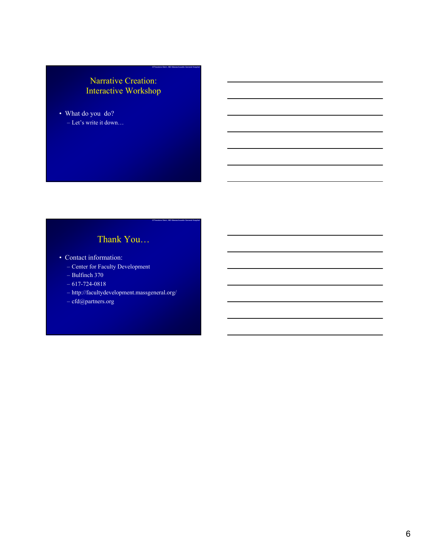## Narrative Creation: Interactive Workshop

©Theodore Stern, MD Massachusetts General Hospital

©Theodore Stern, MD Massachusetts General Hospital

• What do you do? – Let's write it down…

## Thank You…

- Contact information:
	- Center for Faculty Development
	- Bulfinch 370
	- 617-724-0818
	- http://facultydevelopment.massgeneral.org/
	- cfd@partners.org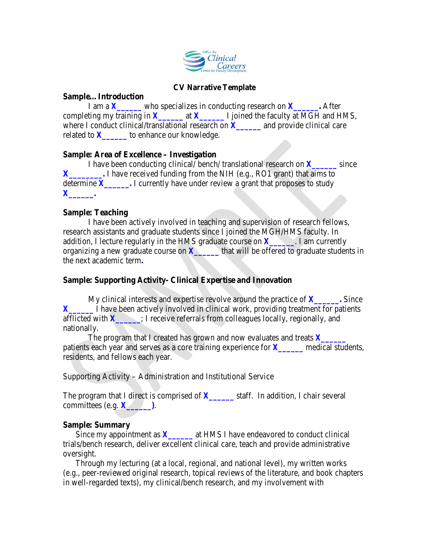

#### **CV Narrative Template**

#### **Sample…Introduction**

I am a  $X$  who specializes in conducting research on  $X$  . After completing my training in  $\overline{X}$  at  $\overline{X}$   $\overline{X}$   $\overline{X}$   $\overline{Y}$  is poined the faculty at MGH and HMS, where I conduct clinical/translational research on  $\boldsymbol{X}$  and provide clinical care related to *X***\_\_\_\_\_\_** to enhance our knowledge.

#### **Sample: Area of Excellence – Investigation**

I have been conducting clinical/ bench/ translational research on  $\boldsymbol{X}$  since **X** I have received funding from the NIH (e.g., RO1 grant) that aims to determine *X***\_\_\_\_\_\_.** I currently have under review a grant that proposes to study *X***\_\_\_\_\_\_.**

#### **Sample: Teaching**

I have been actively involved in teaching and supervision of research fellows, research assistants and graduate students since I joined the MGH/HMS faculty. In addition, I lecture regularly in the HMS graduate course on *X***\_\_\_\_\_\_**. I am currently organizing a new graduate course on  $\overline{X}$  that will be offered to graduate students in the next academic term**.**

#### **Sample: Supporting Activity- Clinical Expertise and Innovation**

My clinical interests and expertise revolve around the practice of *X***\_\_\_\_\_\_.** Since *X* I have been actively involved in clinical work, providing treatment for patients afflicted with  $X$  : I receive referrals from colleagues locally, regionally, and nationally.

The program that I created has grown and now evaluates and treats *X***\_\_\_\_\_\_** patients each year and serves as a core training experience for *X***\_\_\_\_\_\_** medical students, residents, and fellows each year.

Supporting Activity – Administration and Institutional Service

The program that I direct is comprised of **X**\_\_\_\_\_\_\_ staff. In addition, I chair several committees (e.g.  $\boldsymbol{X}$  ).

#### **Sample: Summary**

Since my appointment as *X***\_\_\_\_\_** at HMS I have endeavored to conduct clinical trials/bench research, deliver excellent clinical care, teach and provide administrative oversight.

Through my lecturing (at a local, regional, and national level), my written works (e.g., peer-reviewed original research, topical reviews of the literature, and book chapters in well-regarded texts), my clinical/bench research, and my involvement with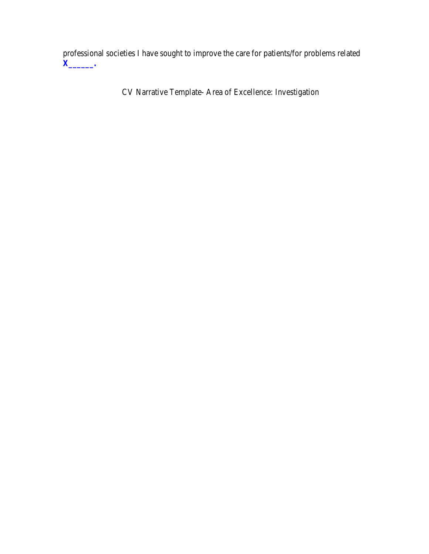professional societies I have sought to improve the care for patients/for problems related *X***\_\_\_\_\_\_.** 

CV Narrative Template- Area of Excellence: Investigation